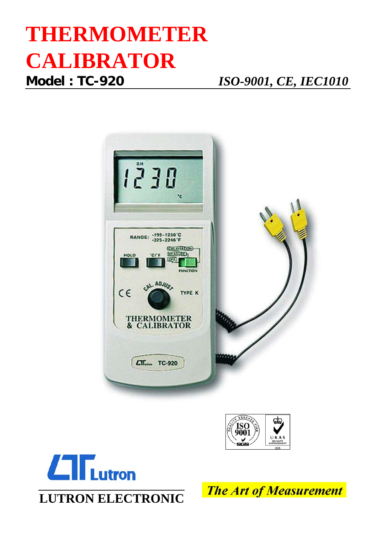# **THERMOMETER CALIBRATOR**

**Model : TC-920** *ISO-9001, CE, IEC1010*







**LUTRON ELECTRONIC**

**The Art of Measurement**